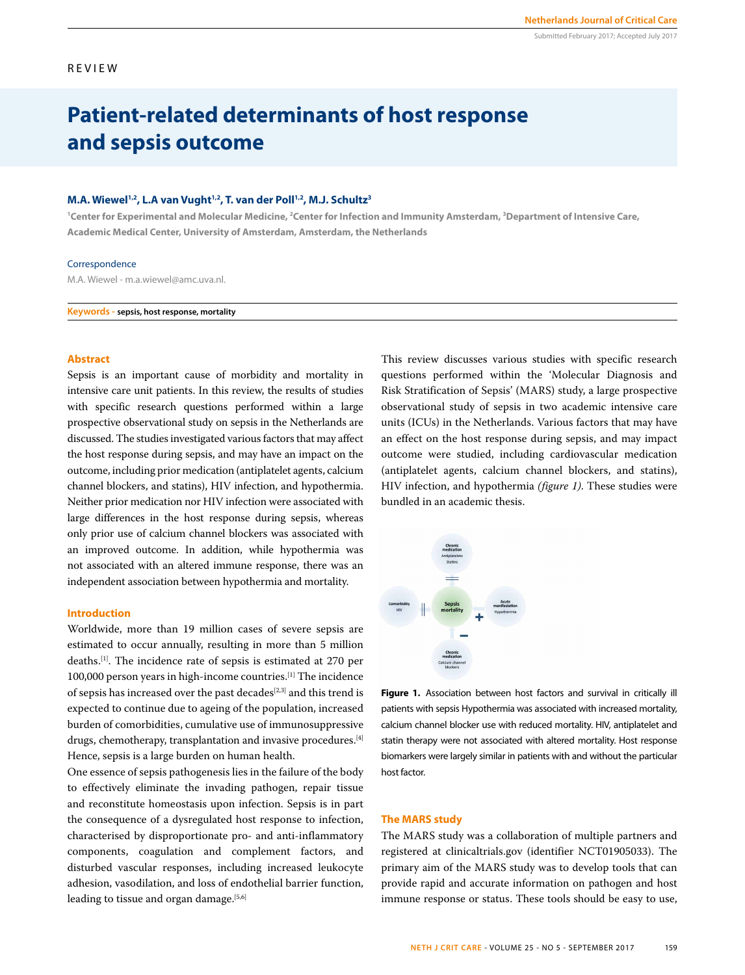#### REVIEW

## **Patient-related determinants of host response and sepsis outcome**

#### **M.A. Wiewel1,2, L.A van Vught1,2, T. van der Poll1,2, M.J. Schultz3**

<sup>1</sup> Center for Experimental and Molecular Medicine, <sup>2</sup>Center for Infection and Immunity Amsterdam, <sup>3</sup>Department of Intensive Care, **Academic Medical Center, University of Amsterdam, Amsterdam, the Netherlands**

#### Correspondence

M.A. Wiewel - m.a.wiewel@amc.uva.nl.

**Keywords - sepsis, host response, mortality**

#### **Abstract**

Sepsis is an important cause of morbidity and mortality in intensive care unit patients. In this review, the results of studies with specific research questions performed within a large prospective observational study on sepsis in the Netherlands are discussed. The studies investigated various factors that may affect the host response during sepsis, and may have an impact on the outcome, including prior medication (antiplatelet agents, calcium channel blockers, and statins), HIV infection, and hypothermia. Neither prior medication nor HIV infection were associated with large differences in the host response during sepsis, whereas only prior use of calcium channel blockers was associated with an improved outcome. In addition, while hypothermia was not associated with an altered immune response, there was an independent association between hypothermia and mortality.

#### **Introduction**

Worldwide, more than 19 million cases of severe sepsis are estimated to occur annually, resulting in more than 5 million deaths.[1]. The incidence rate of sepsis is estimated at 270 per 100,000 person years in high-income countries.[1] The incidence of sepsis has increased over the past decades<sup>[2,3]</sup> and this trend is expected to continue due to ageing of the population, increased burden of comorbidities, cumulative use of immunosuppressive drugs, chemotherapy, transplantation and invasive procedures.[4] Hence, sepsis is a large burden on human health.

One essence of sepsis pathogenesis lies in the failure of the body to effectively eliminate the invading pathogen, repair tissue and reconstitute homeostasis upon infection. Sepsis is in part the consequence of a dysregulated host response to infection, characterised by disproportionate pro- and anti-inflammatory components, coagulation and complement factors, and disturbed vascular responses, including increased leukocyte adhesion, vasodilation, and loss of endothelial barrier function, leading to tissue and organ damage.<sup>[5,6]</sup>

This review discusses various studies with specific research questions performed within the 'Molecular Diagnosis and Risk Stratification of Sepsis' (MARS) study, a large prospective observational study of sepsis in two academic intensive care units (ICUs) in the Netherlands. Various factors that may have an effect on the host response during sepsis, and may impact outcome were studied, including cardiovascular medication (antiplatelet agents, calcium channel blockers, and statins), HIV infection, and hypothermia *(figure 1)*. These studies were bundled in an academic thesis.



Figure 1. Association between host factors and survival in critically ill patients with sepsis Hypothermia was associated with increased mortality, calcium channel blocker use with reduced mortality. HIV, antiplatelet and statin therapy were not associated with altered mortality. Host response biomarkers were largely similar in patients with and without the particular host factor.

#### **The MARS study**

The MARS study was a collaboration of multiple partners and registered at clinicaltrials.gov (identifier NCT01905033). The primary aim of the MARS study was to develop tools that can provide rapid and accurate information on pathogen and host immune response or status. These tools should be easy to use,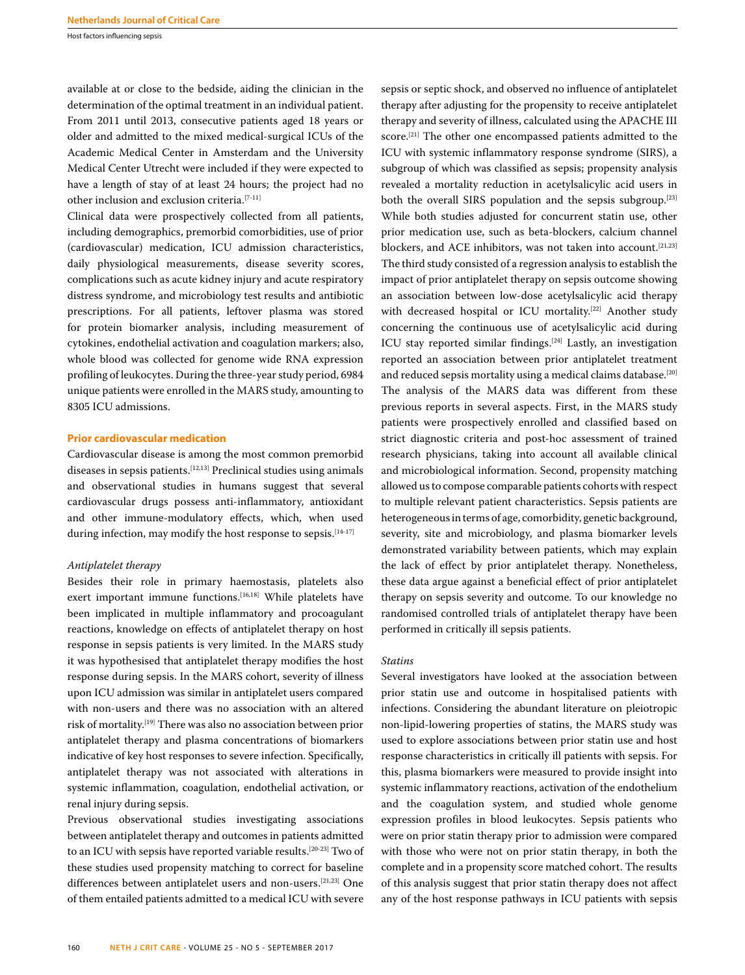Host factors influencing sepsis

available at or close to the bedside, aiding the clinician in the determination of the optimal treatment in an individual patient. From 2011 until 2013, consecutive patients aged 18 years or older and admitted to the mixed medical-surgical ICUs of the Academic Medical Center in Amsterdam and the University Medical Center Utrecht were included if they were expected to have a length of stay of at least 24 hours; the project had no other inclusion and exclusion criteria.[7-11]

Clinical data were prospectively collected from all patients, including demographics, premorbid comorbidities, use of prior (cardiovascular) medication, ICU admission characteristics, daily physiological measurements, disease severity scores, complications such as acute kidney injury and acute respiratory distress syndrome, and microbiology test results and antibiotic prescriptions. For all patients, leftover plasma was stored for protein biomarker analysis, including measurement of cytokines, endothelial activation and coagulation markers; also, whole blood was collected for genome wide RNA expression profiling of leukocytes. During the three-year study period, 6984 unique patients were enrolled in the MARS study, amounting to 8305 ICU admissions.

#### **Prior cardiovascular medication**

Cardiovascular disease is among the most common premorbid diseases in sepsis patients.[12,13] Preclinical studies using animals and observational studies in humans suggest that several cardiovascular drugs possess anti-inflammatory, antioxidant and other immune-modulatory effects, which, when used during infection, may modify the host response to sepsis.<sup>[14-17]</sup>

#### *Antiplatelet therapy*

Besides their role in primary haemostasis, platelets also exert important immune functions.<sup>[16,18]</sup> While platelets have been implicated in multiple inflammatory and procoagulant reactions, knowledge on effects of antiplatelet therapy on host response in sepsis patients is very limited. In the MARS study it was hypothesised that antiplatelet therapy modifies the host response during sepsis. In the MARS cohort, severity of illness upon ICU admission was similar in antiplatelet users compared with non-users and there was no association with an altered risk of mortality.[19] There was also no association between prior antiplatelet therapy and plasma concentrations of biomarkers indicative of key host responses to severe infection. Specifically, antiplatelet therapy was not associated with alterations in systemic inflammation, coagulation, endothelial activation, or renal injury during sepsis.

Previous observational studies investigating associations between antiplatelet therapy and outcomes in patients admitted to an ICU with sepsis have reported variable results.[20-23] Two of these studies used propensity matching to correct for baseline differences between antiplatelet users and non-users.[21,23] One of them entailed patients admitted to a medical ICU with severe

sepsis or septic shock, and observed no influence of antiplatelet therapy after adjusting for the propensity to receive antiplatelet therapy and severity of illness, calculated using the APACHE III score.<sup>[21]</sup> The other one encompassed patients admitted to the ICU with systemic inflammatory response syndrome (SIRS), a subgroup of which was classified as sepsis; propensity analysis revealed a mortality reduction in acetylsalicylic acid users in both the overall SIRS population and the sepsis subgroup.[23] While both studies adjusted for concurrent statin use, other prior medication use, such as beta-blockers, calcium channel blockers, and ACE inhibitors, was not taken into account.<sup>[21,23]</sup> The third study consisted of a regression analysis to establish the impact of prior antiplatelet therapy on sepsis outcome showing an association between low-dose acetylsalicylic acid therapy with decreased hospital or ICU mortality.<sup>[22]</sup> Another study concerning the continuous use of acetylsalicylic acid during ICU stay reported similar findings.<sup>[24]</sup> Lastly, an investigation reported an association between prior antiplatelet treatment and reduced sepsis mortality using a medical claims database.[20] The analysis of the MARS data was different from these previous reports in several aspects. First, in the MARS study patients were prospectively enrolled and classified based on strict diagnostic criteria and post-hoc assessment of trained research physicians, taking into account all available clinical and microbiological information. Second, propensity matching allowed us to compose comparable patients cohorts with respect to multiple relevant patient characteristics. Sepsis patients are heterogeneous in terms of age, comorbidity, genetic background, severity, site and microbiology, and plasma biomarker levels demonstrated variability between patients, which may explain the lack of effect by prior antiplatelet therapy. Nonetheless, these data argue against a beneficial effect of prior antiplatelet therapy on sepsis severity and outcome. To our knowledge no randomised controlled trials of antiplatelet therapy have been performed in critically ill sepsis patients.

#### *Statins*

Several investigators have looked at the association between prior statin use and outcome in hospitalised patients with infections. Considering the abundant literature on pleiotropic non-lipid-lowering properties of statins, the MARS study was used to explore associations between prior statin use and host response characteristics in critically ill patients with sepsis. For this, plasma biomarkers were measured to provide insight into systemic inflammatory reactions, activation of the endothelium and the coagulation system, and studied whole genome expression profiles in blood leukocytes. Sepsis patients who were on prior statin therapy prior to admission were compared with those who were not on prior statin therapy, in both the complete and in a propensity score matched cohort. The results of this analysis suggest that prior statin therapy does not affect any of the host response pathways in ICU patients with sepsis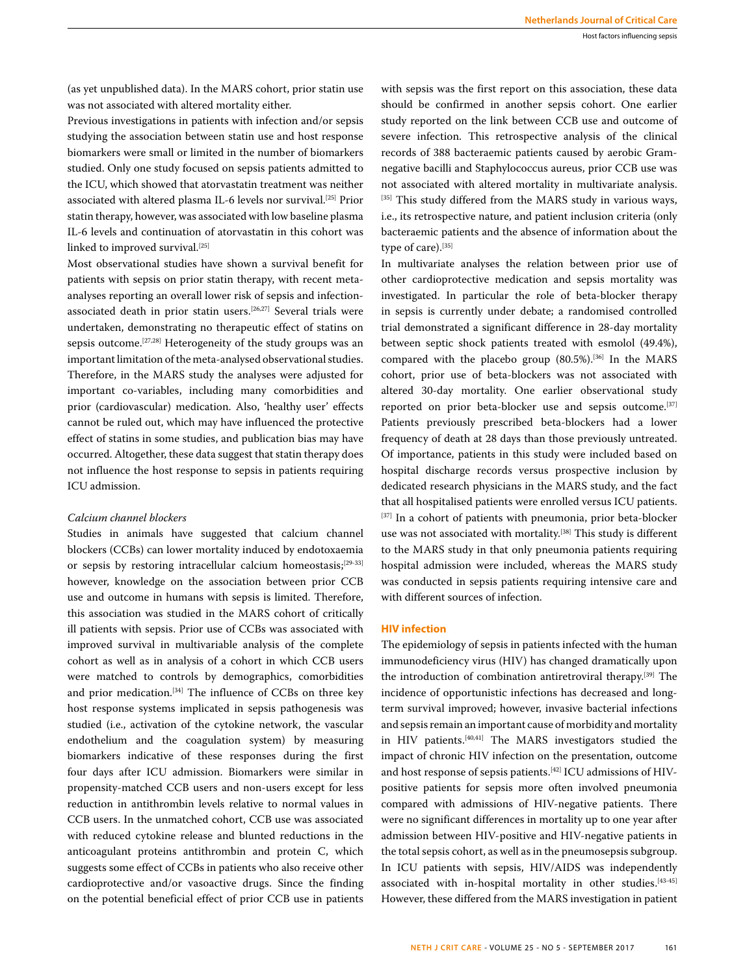(as yet unpublished data). In the MARS cohort, prior statin use was not associated with altered mortality either.

Previous investigations in patients with infection and/or sepsis studying the association between statin use and host response biomarkers were small or limited in the number of biomarkers studied. Only one study focused on sepsis patients admitted to the ICU, which showed that atorvastatin treatment was neither associated with altered plasma IL-6 levels nor survival.<sup>[25]</sup> Prior statin therapy, however, was associated with low baseline plasma IL-6 levels and continuation of atorvastatin in this cohort was linked to improved survival.<sup>[25]</sup>

Most observational studies have shown a survival benefit for patients with sepsis on prior statin therapy, with recent metaanalyses reporting an overall lower risk of sepsis and infectionassociated death in prior statin users.[26,27] Several trials were undertaken, demonstrating no therapeutic effect of statins on sepsis outcome.<sup>[27,28]</sup> Heterogeneity of the study groups was an important limitation of the meta-analysed observational studies. Therefore, in the MARS study the analyses were adjusted for important co-variables, including many comorbidities and prior (cardiovascular) medication. Also, 'healthy user' effects cannot be ruled out, which may have influenced the protective effect of statins in some studies, and publication bias may have occurred. Altogether, these data suggest that statin therapy does not influence the host response to sepsis in patients requiring ICU admission.

#### *Calcium channel blockers*

Studies in animals have suggested that calcium channel blockers (CCBs) can lower mortality induced by endotoxaemia or sepsis by restoring intracellular calcium homeostasis;[29-33] however, knowledge on the association between prior CCB use and outcome in humans with sepsis is limited. Therefore, this association was studied in the MARS cohort of critically ill patients with sepsis. Prior use of CCBs was associated with improved survival in multivariable analysis of the complete cohort as well as in analysis of a cohort in which CCB users were matched to controls by demographics, comorbidities and prior medication.<sup>[34]</sup> The influence of CCBs on three key host response systems implicated in sepsis pathogenesis was studied (i.e., activation of the cytokine network, the vascular endothelium and the coagulation system) by measuring biomarkers indicative of these responses during the first four days after ICU admission. Biomarkers were similar in propensity-matched CCB users and non-users except for less reduction in antithrombin levels relative to normal values in CCB users. In the unmatched cohort, CCB use was associated with reduced cytokine release and blunted reductions in the anticoagulant proteins antithrombin and protein C, which suggests some effect of CCBs in patients who also receive other cardioprotective and/or vasoactive drugs. Since the finding on the potential beneficial effect of prior CCB use in patients

with sepsis was the first report on this association, these data should be confirmed in another sepsis cohort. One earlier study reported on the link between CCB use and outcome of severe infection. This retrospective analysis of the clinical records of 388 bacteraemic patients caused by aerobic Gramnegative bacilli and Staphylococcus aureus, prior CCB use was not associated with altered mortality in multivariate analysis. [35] This study differed from the MARS study in various ways, i.e., its retrospective nature, and patient inclusion criteria (only bacteraemic patients and the absence of information about the type of care).<sup>[35]</sup>

In multivariate analyses the relation between prior use of other cardioprotective medication and sepsis mortality was investigated. In particular the role of beta-blocker therapy in sepsis is currently under debate; a randomised controlled trial demonstrated a significant difference in 28-day mortality between septic shock patients treated with esmolol (49.4%), compared with the placebo group (80.5%).<sup>[36]</sup> In the MARS cohort, prior use of beta-blockers was not associated with altered 30-day mortality. One earlier observational study reported on prior beta-blocker use and sepsis outcome.<sup>[37]</sup> Patients previously prescribed beta-blockers had a lower frequency of death at 28 days than those previously untreated. Of importance, patients in this study were included based on hospital discharge records versus prospective inclusion by dedicated research physicians in the MARS study, and the fact that all hospitalised patients were enrolled versus ICU patients. [37] In a cohort of patients with pneumonia, prior beta-blocker use was not associated with mortality.[38] This study is different to the MARS study in that only pneumonia patients requiring hospital admission were included, whereas the MARS study was conducted in sepsis patients requiring intensive care and with different sources of infection.

#### **HIV infection**

The epidemiology of sepsis in patients infected with the human immunodeficiency virus (HIV) has changed dramatically upon the introduction of combination antiretroviral therapy.<sup>[39]</sup> The incidence of opportunistic infections has decreased and longterm survival improved; however, invasive bacterial infections and sepsis remain an important cause of morbidity and mortality in HIV patients.[40,41] The MARS investigators studied the impact of chronic HIV infection on the presentation, outcome and host response of sepsis patients.<sup>[42]</sup> ICU admissions of HIVpositive patients for sepsis more often involved pneumonia compared with admissions of HIV-negative patients. There were no significant differences in mortality up to one year after admission between HIV-positive and HIV-negative patients in the total sepsis cohort, as well as in the pneumosepsis subgroup. In ICU patients with sepsis, HIV/AIDS was independently associated with in-hospital mortality in other studies.<sup>[43-45]</sup> However, these differed from the MARS investigation in patient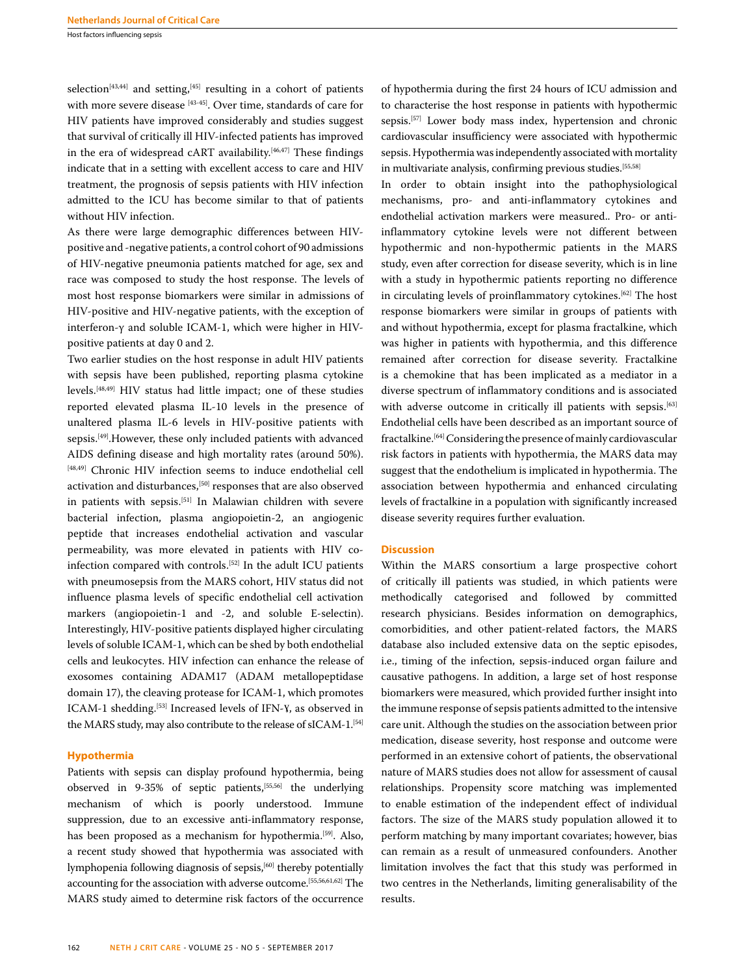Host factors influencing sepsis

selection<sup>[43,44]</sup> and setting,<sup>[45]</sup> resulting in a cohort of patients with more severe disease [43-45]. Over time, standards of care for HIV patients have improved considerably and studies suggest that survival of critically ill HIV-infected patients has improved in the era of widespread cART availability.<sup>[46,47]</sup> These findings indicate that in a setting with excellent access to care and HIV treatment, the prognosis of sepsis patients with HIV infection admitted to the ICU has become similar to that of patients without HIV infection.

As there were large demographic differences between HIVpositive and -negative patients, a control cohort of 90 admissions of HIV-negative pneumonia patients matched for age, sex and race was composed to study the host response. The levels of most host response biomarkers were similar in admissions of HIV-positive and HIV-negative patients, with the exception of interferon-γ and soluble ICAM-1, which were higher in HIVpositive patients at day 0 and 2.

Two earlier studies on the host response in adult HIV patients with sepsis have been published, reporting plasma cytokine levels.[48,49] HIV status had little impact; one of these studies reported elevated plasma IL-10 levels in the presence of unaltered plasma IL-6 levels in HIV-positive patients with sepsis.[49].However, these only included patients with advanced AIDS defining disease and high mortality rates (around 50%). [48,49] Chronic HIV infection seems to induce endothelial cell activation and disturbances,[50] responses that are also observed in patients with sepsis.[51] In Malawian children with severe bacterial infection, plasma angiopoietin-2, an angiogenic peptide that increases endothelial activation and vascular permeability, was more elevated in patients with HIV coinfection compared with controls.[52] In the adult ICU patients with pneumosepsis from the MARS cohort, HIV status did not influence plasma levels of specific endothelial cell activation markers (angiopoietin-1 and -2, and soluble E-selectin). Interestingly, HIV-positive patients displayed higher circulating levels of soluble ICAM-1, which can be shed by both endothelial cells and leukocytes. HIV infection can enhance the release of exosomes containing ADAM17 (ADAM metallopeptidase domain 17), the cleaving protease for ICAM-1, which promotes ICAM-1 shedding.<sup>[53]</sup> Increased levels of IFN-Y, as observed in the MARS study, may also contribute to the release of sICAM-1.<sup>[54]</sup>

#### **Hypothermia**

Patients with sepsis can display profound hypothermia, being observed in 9-35% of septic patients,[55,56] the underlying mechanism of which is poorly understood. Immune suppression, due to an excessive anti-inflammatory response, has been proposed as a mechanism for hypothermia.<sup>[59]</sup>. Also, a recent study showed that hypothermia was associated with lymphopenia following diagnosis of sepsis,<sup>[60]</sup> thereby potentially accounting for the association with adverse outcome.[55,56,61,62] The MARS study aimed to determine risk factors of the occurrence of hypothermia during the first 24 hours of ICU admission and to characterise the host response in patients with hypothermic sepsis.<sup>[57]</sup> Lower body mass index, hypertension and chronic cardiovascular insufficiency were associated with hypothermic sepsis. Hypothermia was independently associated with mortality in multivariate analysis, confirming previous studies.<sup>[55,58]</sup>

In order to obtain insight into the pathophysiological mechanisms, pro- and anti-inflammatory cytokines and endothelial activation markers were measured.. Pro- or antiinflammatory cytokine levels were not different between hypothermic and non-hypothermic patients in the MARS study, even after correction for disease severity, which is in line with a study in hypothermic patients reporting no difference in circulating levels of proinflammatory cytokines.<sup>[62]</sup> The host response biomarkers were similar in groups of patients with and without hypothermia, except for plasma fractalkine, which was higher in patients with hypothermia, and this difference remained after correction for disease severity. Fractalkine is a chemokine that has been implicated as a mediator in a diverse spectrum of inflammatory conditions and is associated with adverse outcome in critically ill patients with sepsis.<sup>[63]</sup> Endothelial cells have been described as an important source of fractalkine.[64] Considering the presence of mainly cardiovascular risk factors in patients with hypothermia, the MARS data may suggest that the endothelium is implicated in hypothermia. The association between hypothermia and enhanced circulating levels of fractalkine in a population with significantly increased disease severity requires further evaluation.

#### **Discussion**

Within the MARS consortium a large prospective cohort of critically ill patients was studied, in which patients were methodically categorised and followed by committed research physicians. Besides information on demographics, comorbidities, and other patient-related factors, the MARS database also included extensive data on the septic episodes, i.e., timing of the infection, sepsis-induced organ failure and causative pathogens. In addition, a large set of host response biomarkers were measured, which provided further insight into the immune response of sepsis patients admitted to the intensive care unit. Although the studies on the association between prior medication, disease severity, host response and outcome were performed in an extensive cohort of patients, the observational nature of MARS studies does not allow for assessment of causal relationships. Propensity score matching was implemented to enable estimation of the independent effect of individual factors. The size of the MARS study population allowed it to perform matching by many important covariates; however, bias can remain as a result of unmeasured confounders. Another limitation involves the fact that this study was performed in two centres in the Netherlands, limiting generalisability of the results.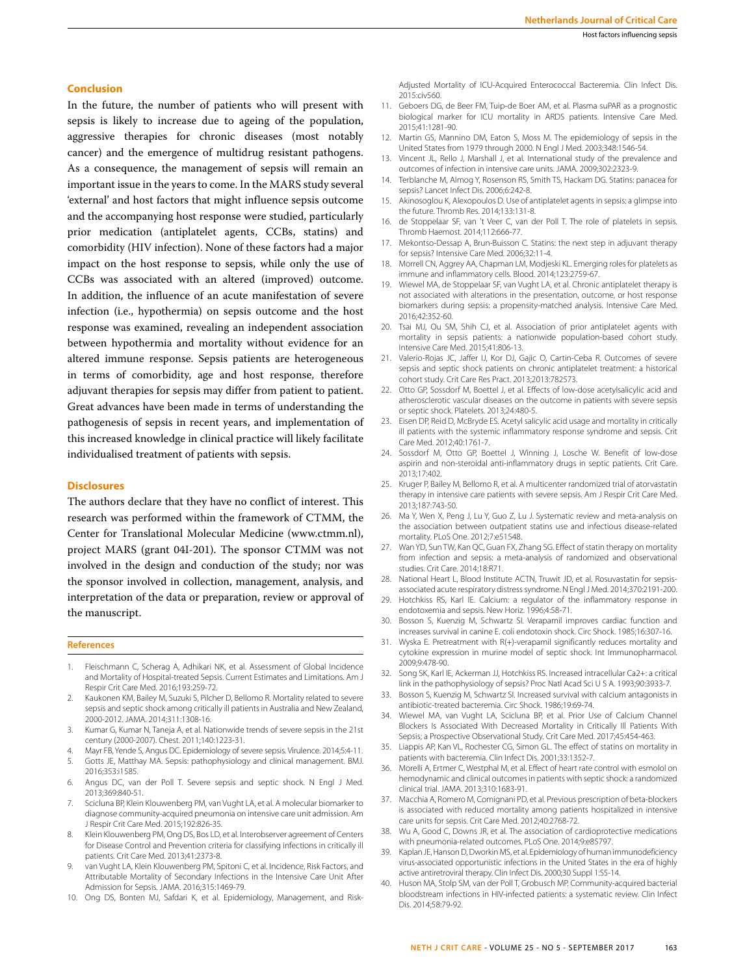#### **Conclusion**

In the future, the number of patients who will present with sepsis is likely to increase due to ageing of the population, aggressive therapies for chronic diseases (most notably cancer) and the emergence of multidrug resistant pathogens. As a consequence, the management of sepsis will remain an important issue in the years to come. In the MARS study several 'external' and host factors that might influence sepsis outcome and the accompanying host response were studied, particularly prior medication (antiplatelet agents, CCBs, statins) and comorbidity (HIV infection). None of these factors had a major impact on the host response to sepsis, while only the use of CCBs was associated with an altered (improved) outcome. In addition, the influence of an acute manifestation of severe infection (i.e., hypothermia) on sepsis outcome and the host response was examined, revealing an independent association between hypothermia and mortality without evidence for an altered immune response. Sepsis patients are heterogeneous in terms of comorbidity, age and host response, therefore adjuvant therapies for sepsis may differ from patient to patient. Great advances have been made in terms of understanding the pathogenesis of sepsis in recent years, and implementation of this increased knowledge in clinical practice will likely facilitate individualised treatment of patients with sepsis.

#### **Disclosures**

The authors declare that they have no conflict of interest. This research was performed within the framework of CTMM, the Center for Translational Molecular Medicine (www.ctmm.nl), project MARS (grant 04I-201). The sponsor CTMM was not involved in the design and conduction of the study; nor was the sponsor involved in collection, management, analysis, and interpretation of the data or preparation, review or approval of the manuscript.

#### **References**

- 1. Fleischmann C, Scherag A, Adhikari NK, et al. Assessment of Global Incidence and Mortality of Hospital-treated Sepsis. Current Estimates and Limitations. Am J Respir Crit Care Med. 2016;193:259-72.
- 2. Kaukonen KM, Bailey M, Suzuki S, Pilcher D, Bellomo R. Mortality related to severe sepsis and septic shock among critically ill patients in Australia and New Zealand, 2000-2012. JAMA. 2014;311:1308-16.
- 3. Kumar G, Kumar N, Taneja A, et al. Nationwide trends of severe sepsis in the 21st century (2000-2007). Chest. 2011;140:1223-31.
- 4. Mayr FB, Yende S, Angus DC. Epidemiology of severe sepsis. Virulence. 2014;5:4-11.
- 5. Gotts JE, Matthay MA. Sepsis: pathophysiology and clinical management. BMJ. 2016;353:i1585.
- 6. Angus DC, van der Poll T. Severe sepsis and septic shock. N Engl J Med. 2013;369:840-51.
- 7. Scicluna BP, Klein Klouwenberg PM, van Vught LA, et al. A molecular biomarker to diagnose community-acquired pneumonia on intensive care unit admission. Am J Respir Crit Care Med. 2015;192:826-35.
- 8. Klein Klouwenberg PM, Ong DS, Bos LD, et al. Interobserver agreement of Centers for Disease Control and Prevention criteria for classifying infections in critically ill patients. Crit Care Med. 2013;41:2373-8.
- 9. van Vught LA, Klein Klouwenberg PM, Spitoni C, et al. Incidence, Risk Factors, and Attributable Mortality of Secondary Infections in the Intensive Care Unit After Admission for Sepsis. JAMA. 2016;315:1469-79.
- 10. Ong DS, Bonten MJ, Safdari K, et al. Epidemiology, Management, and Risk-

Adjusted Mortality of ICU-Acquired Enterococcal Bacteremia. Clin Infect Dis. 2015:civ560.

- 11. Geboers DG, de Beer FM, Tuip-de Boer AM, et al. Plasma suPAR as a prognostic biological marker for ICU mortality in ARDS patients. Intensive Care Med. 2015;41:1281-90.
- 12. Martin GS, Mannino DM, Eaton S, Moss M. The epidemiology of sepsis in the United States from 1979 through 2000. N Engl J Med. 2003;348:1546-54.
- 13. Vincent JL, Rello J, Marshall J, et al. International study of the prevalence and outcomes of infection in intensive care units. JAMA. 2009;302:2323-9.
- 14. Terblanche M, Almog Y, Rosenson RS, Smith TS, Hackam DG. Statins: panacea for sepsis? Lancet Infect Dis. 2006;6:242-8.
- 15. Akinosoglou K, Alexopoulos D. Use of antiplatelet agents in sepsis: a glimpse into the future. Thromb Res. 2014;133:131-8.
- 16. de Stoppelaar SF, van 't Veer C, van der Poll T. The role of platelets in sepsis. Thromb Haemost. 2014;112:666-77.
- 17. Mekontso-Dessap A, Brun-Buisson C. Statins: the next step in adjuvant therapy for sepsis? Intensive Care Med. 2006;32:11-4.
- 18. Morrell CN, Aggrey AA, Chapman LM, Modjeski KL. Emerging roles for platelets as immune and inflammatory cells. Blood. 2014;123:2759-67.
- 19. Wiewel MA, de Stoppelaar SF, van Vught LA, et al. Chronic antiplatelet therapy is not associated with alterations in the presentation, outcome, or host response biomarkers during sepsis: a propensity-matched analysis. Intensive Care Med. 2016;42:352-60.
- 20. Tsai MJ, Ou SM, Shih CJ, et al. Association of prior antiplatelet agents with mortality in sepsis patients: a nationwide population-based cohort study. Intensive Care Med. 2015;41:806-13.
- 21. Valerio-Rojas JC, Jaffer IJ, Kor DJ, Gajic O, Cartin-Ceba R. Outcomes of severe sepsis and septic shock patients on chronic antiplatelet treatment: a historical cohort study. Crit Care Res Pract. 2013;2013:782573.
- 22. Otto GP, Sossdorf M, Boettel J, et al. Effects of low-dose acetylsalicylic acid and atherosclerotic vascular diseases on the outcome in patients with severe sepsis or septic shock. Platelets. 2013;24:480-5.
- 23. Eisen DP, Reid D, McBryde ES. Acetyl salicylic acid usage and mortality in critically ill patients with the systemic inflammatory response syndrome and sepsis. Crit Care Med. 2012;40:1761-7.
- 24. Sossdorf M, Otto GP, Boettel J, Winning J, Losche W. Benefit of low-dose aspirin and non-steroidal anti-inflammatory drugs in septic patients. Crit Care. 2013;17:402.
- 25. Kruger P, Bailey M, Bellomo R, et al. A multicenter randomized trial of atorvastatin therapy in intensive care patients with severe sepsis. Am J Respir Crit Care Med. 2013;187:743-50.
- 26. Ma Y, Wen X, Peng J, Lu Y, Guo Z, Lu J. Systematic review and meta-analysis on the association between outpatient statins use and infectious disease-related mortality. PLoS One. 2012;7:e51548.
- 27. Wan YD, Sun TW, Kan QC, Guan FX, Zhang SG. Effect of statin therapy on mortality from infection and sepsis: a meta-analysis of randomized and observational studies. Crit Care. 2014;18:R71.
- 28. National Heart L, Blood Institute ACTN, Truwit JD, et al. Rosuvastatin for sepsisassociated acute respiratory distress syndrome. N Engl J Med. 2014;370:2191-200.
- 29. Hotchkiss RS, Karl IE. Calcium: a regulator of the inflammatory response in endotoxemia and sepsis. New Horiz. 1996;4:58-71.
- 30. Bosson S, Kuenzig M, Schwartz SI. Verapamil improves cardiac function and increases survival in canine E. coli endotoxin shock. Circ Shock. 1985;16:307-16.
- 31. Wyska E. Pretreatment with R(+)-verapamil significantly reduces mortality and cytokine expression in murine model of septic shock. Int Immunopharmacol. 2009;9:478-90.
- 32. Song SK, Karl IE, Ackerman JJ, Hotchkiss RS. Increased intracellular Ca2+: a critical link in the pathophysiology of sepsis? Proc Natl Acad Sci U S A. 1993;90:3933-7.
- Bosson S, Kuenzig M, Schwartz SI. Increased survival with calcium antagonists in antibiotic-treated bacteremia. Circ Shock. 1986;19:69-74.
- 34. Wiewel MA, van Vught LA, Scicluna BP, et al. Prior Use of Calcium Channel Blockers Is Associated With Decreased Mortality in Critically Ill Patients With Sepsis; a Prospective Observational Study. Crit Care Med. 2017;45:454-463.
- 35. Liappis AP, Kan VL, Rochester CG, Simon GL. The effect of statins on mortality in patients with bacteremia. Clin Infect Dis. 2001;33:1352-7.
- 36. Morelli A, Ertmer C, Westphal M, et al. Effect of heart rate control with esmolol on hemodynamic and clinical outcomes in patients with septic shock: a randomized clinical trial. JAMA. 2013;310:1683-91.
- 37. Macchia A, Romero M, Comignani PD, et al. Previous prescription of beta-blockers is associated with reduced mortality among patients hospitalized in intensive care units for sepsis. Crit Care Med. 2012;40:2768-72.
- 38. Wu A, Good C, Downs JR, et al. The association of cardioprotective medications with pneumonia-related outcomes. PLoS One. 2014;9:e85797.
- 39. Kaplan JE, Hanson D, Dworkin MS, et al. Epidemiology of human immunodeficiency virus-associated opportunistic infections in the United States in the era of highly active antiretroviral therapy. Clin Infect Dis. 2000;30 Suppl 1:S5-14.
- 40. Huson MA, Stolp SM, van der Poll T, Grobusch MP. Community-acquired bacterial bloodstream infections in HIV-infected patients: a systematic review. Clin Infect Dis. 2014;58:79-92.